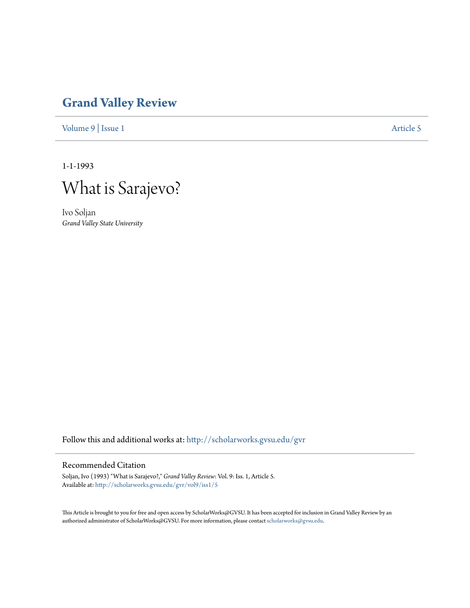## **[Grand Valley Review](http://scholarworks.gvsu.edu/gvr?utm_source=scholarworks.gvsu.edu%2Fgvr%2Fvol9%2Fiss1%2F5&utm_medium=PDF&utm_campaign=PDFCoverPages)**

[Volume 9](http://scholarworks.gvsu.edu/gvr/vol9?utm_source=scholarworks.gvsu.edu%2Fgvr%2Fvol9%2Fiss1%2F5&utm_medium=PDF&utm_campaign=PDFCoverPages) | [Issue 1](http://scholarworks.gvsu.edu/gvr/vol9/iss1?utm_source=scholarworks.gvsu.edu%2Fgvr%2Fvol9%2Fiss1%2F5&utm_medium=PDF&utm_campaign=PDFCoverPages) [Article 5](http://scholarworks.gvsu.edu/gvr/vol9/iss1/5?utm_source=scholarworks.gvsu.edu%2Fgvr%2Fvol9%2Fiss1%2F5&utm_medium=PDF&utm_campaign=PDFCoverPages)

1-1-1993



Ivo Soljan *Grand Valley State University*

Follow this and additional works at: [http://scholarworks.gvsu.edu/gvr](http://scholarworks.gvsu.edu/gvr?utm_source=scholarworks.gvsu.edu%2Fgvr%2Fvol9%2Fiss1%2F5&utm_medium=PDF&utm_campaign=PDFCoverPages)

#### Recommended Citation

Soljan, Ivo (1993) "What is Sarajevo?," *Grand Valley Review*: Vol. 9: Iss. 1, Article 5. Available at: [http://scholarworks.gvsu.edu/gvr/vol9/iss1/5](http://scholarworks.gvsu.edu/gvr/vol9/iss1/5?utm_source=scholarworks.gvsu.edu%2Fgvr%2Fvol9%2Fiss1%2F5&utm_medium=PDF&utm_campaign=PDFCoverPages)

This Article is brought to you for free and open access by ScholarWorks@GVSU. It has been accepted for inclusion in Grand Valley Review by an authorized administrator of ScholarWorks@GVSU. For more information, please contact [scholarworks@gvsu.edu.](mailto:scholarworks@gvsu.edu)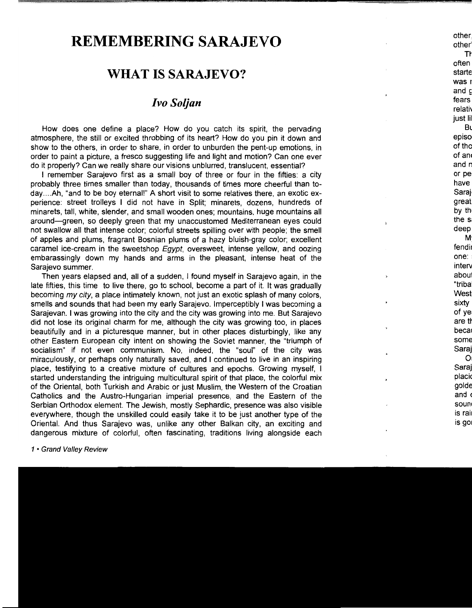# **REMEMBERING SARAJEVO**

### **WHAT IS SARAJEVO?**

#### *Ivo Soljan*

How does one define a place? How do you catch its spirit, the pervading atmosphere, the still or excited throbbing of its heart? How do you pin it down and show to the others, in order to share, in order to unburden the pent-up emotions, in order to paint a picture, a fresco suggesting life and light and motion? Can one ever do it properly? Can we really share our visions unblurred, translucent, essential?

I remember Sarajevo first as a small boy of three or four in the fifties: a city probably three times smaller than today, thousands of times more cheerful than today....Ah, "and to be boy eternal!" A short visit to some relatives there, an exotic experience: street trolleys I did not have in Split; minarets, dozens, hundreds of minarets, tall, white, slender, and small wooden ones; mountains, huge mountains all around-green, so deeply green that my unaccustomed Mediterranean eyes could not swallow all that intense color; colorful streets spilling over with people; the smell of apples and plums, fragrant Bosnian plums of a hazy bluish-gray color; excellent caramel ice-cream in the sweetshop Egypt, oversweet, intense yellow, and oozing embarassingly down my hands and arms in the pleasant, intense heat of the Sarajevo summer.

Then years elapsed and, all of a sudden, I found myself in Sarajevo again, in the late fifties, this time to live there, go to school, become a part of it. It was gradually becoming my city, a place intimately known, not just an exotic splash of many colors, smells and sounds that had been my early Sarajevo. Imperceptibly I was becoming a Sarajevan. I was growing into the city and the city was growing into me. But Sarajevo did not lose its original charm for me, although the city was growing too, in places beautifully and in a picturesque manner, but in other places disturbingly, like any other Eastern European city intent on showing the Soviet manner, the "triumph of socialism" if not even communism. No, indeed, the "soul" of the city was miraculously, or perhaps only naturally saved, and I continued to live in an inspiring place, testifying to a creative mixture of cultures and epochs. Growing myself, I started understanding the intriguing multicultural spirit of that place, the colorful mix of the Oriental, both Turkish and Arabic or just Muslim, the Western of the Croatian Catholics and the Austro-Hungarian imperial presence, and the Eastern of the Serbian Orthodox element. The Jewish, mostly Sephardic, presence was also visible everywhere, though the unskilled could easily take it to be just another type of the Oriental. And thus Sarajevo was, unlike any other Balkan city, an exciting and dangerous mixture of colorful, often fascinating, traditions living alongside each